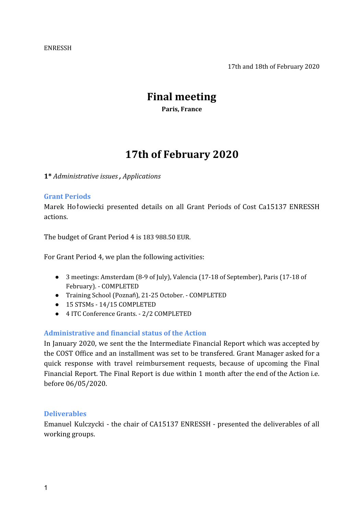#### ENRESSH

17th and 18th of February 2020

# **Final meeting**

**Paris, France**

# **17th of February 2020**

**1\*** *Administrative issues , Applications*

### **Grant Periods**

Marek Hołowiecki presented details on all Grant Periods of Cost Ca15137 ENRESSH actions.

The budget of Grant Period 4 is 183 988.50 EUR.

For Grant Period 4, we plan the following activities:

- 3 meetings: Amsterdam (8-9 of July), Valencia (17-18 of September), Paris (17-18 of February). - COMPLETED
- Training School (Poznań), 21-25 October. COMPLETED
- 15 STSMs 14/15 COMPLETED
- 4 ITC Conference Grants. 2/2 COMPLETED

# **Administrative and financial status of the Action**

In January 2020, we sent the the Intermediate Financial Report which was accepted by the COST Office and an installment was set to be transfered. Grant Manager asked for a quick response with travel reimbursement requests, because of upcoming the Final Financial Report. The Final Report is due within 1 month after the end of the Action i.e. before 06/05/2020.

#### **Deliverables**

Emanuel Kulczycki - the chair of CA15137 ENRESSH - presented the deliverables of all working groups.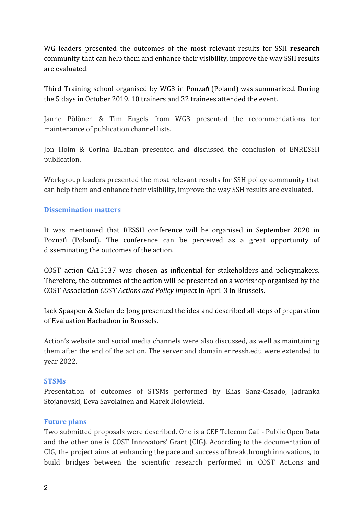WG leaders presented the outcomes of the most relevant results for SSH **research** community that can help them and enhance their visibility, improve the way SSH results are evaluated.

Third Training school organised by WG3 in Ponzań (Poland) was summarized. During the 5 days in October 2019. 10 trainers and 32 trainees attended the event.

Janne Pölönen & Tim Engels from WG3 presented the recommendations for maintenance of publication channel lists.

Jon Holm & Corina Balaban presented and discussed the conclusion of ENRESSH publication.

Workgroup leaders presented the most relevant results for SSH policy community that can help them and enhance their visibility, improve the way SSH results are evaluated.

### **Dissemination matters**

It was mentioned that RESSH conference will be organised in September 2020 in Poznań (Poland). The conference can be perceived as a great opportunity of disseminating the outcomes of the action.

COST action CA15137 was chosen as influential for stakeholders and policymakers. Therefore, the outcomes of the action will be presented on a workshop organised by the COST Association *COST Actions and Policy Impact* in April 3 in Brussels.

Jack Spaapen & Stefan de Jong presented the idea and described all steps of preparation of Evaluation Hackathon in Brussels.

Action's website and social media channels were also discussed, as well as maintaining them after the end of the action. The server and domain enressh.edu were extended to year 2022.

#### **STSMs**

Presentation of outcomes of STSMs performed by Elias Sanz-Casado, Jadranka Stojanovski, Eeva Savolainen and Marek Holowieki.

#### **Future plans**

Two submitted proposals were described. One is a CEF Telecom Call - Public Open Data and the other one is COST Innovators' Grant (CIG). Acocrding to the documentation of CIG, the project aims at enhancing the pace and success of breakthrough innovations, to build bridges between the scientific research performed in COST Actions and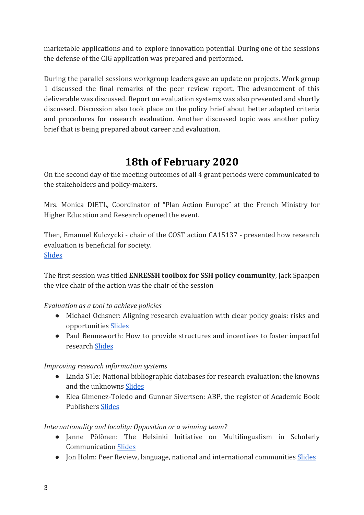marketable applications and to explore innovation potential. During one of the sessions the defense of the CIG application was prepared and performed.

During the parallel sessions workgroup leaders gave an update on projects. Work group 1 discussed the final remarks of the peer review report. The advancement of this deliverable was discussed. Report on evaluation systems was also presented and shortly discussed. Discussion also took place on the policy brief about better adapted criteria and procedures for research evaluation. Another discussed topic was another policy brief that is being prepared about career and evaluation.

# **18th of February 2020**

On the second day of the meeting outcomes of all 4 grant periods were communicated to the stakeholders and policy-makers.

Mrs. Monica DIETL, Coordinator of "Plan Action Europe" at the French Ministry for Higher Education and Research opened the event.

Then, Emanuel Kulczycki - chair of the COST action CA15137 - presented how research evaluation is beneficial for society. [Slides](https://enressh.eu/wp-content/uploads/2018/04/KULCZYCKI_PARIS_18th-of-February-2020.pdf)

The first session was titled **ENRESSH toolbox for SSH policy community**, Jack Spaapen the vice chair of the action was the chair of the session

# *Evaluation as a tool to achieve policies*

- Michael Ochsner: Aligning research evaluation with clear policy goals: risks and opportunities [Slides](https://enressh.eu/wp-content/uploads/2018/04/Stakeholders_PolicyGoals_v04.pdf)
- Paul Benneworth: How to provide structures and incentives to foster impactful research [Slides](https://enressh.eu/wp-content/uploads/2018/04/benneworth-policy-rountable-feb-2020.pptx)

# *Improving research information systems*

- Linda Sīle: National bibliographic databases for research evaluation: the knowns and the unknowns [Slides](https://enressh.eu/wp-content/uploads/2018/04/ENRESSH2020_Sile_FINAL.pptx)
- Elea Gimenez-Toledo and Gunnar Sivertsen: ABP, the register of Academic Book Publishers [Slides](https://enressh.eu/wp-content/uploads/2018/04/Sivertsen-and-Gimenez-Paris-February-2020.pptx)

# *Internationality and locality: Opposition or a winning team?*

- Janne Pölönen: The Helsinki Initiative on Multilingualism in Scholarly Communication [Slides](https://enressh.eu/wp-content/uploads/2018/04/helsinki_initiative_18022020_v1.pptx)
- Jon Holm: Peer Review, language, national and international communities **[Slides](https://enressh.eu/wp-content/uploads/2018/04/Peer_review_Holm.pptx)**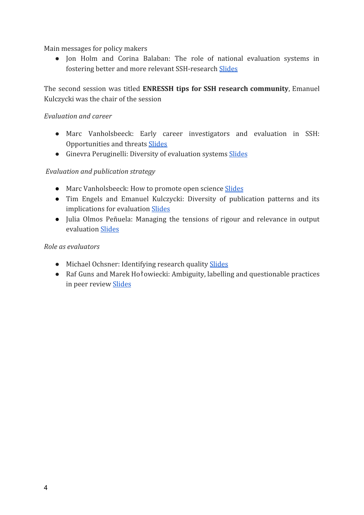Main messages for policy makers

● Jon Holm and Corina Balaban: The role of national evaluation systems in fostering better and more relevant SSH-research [Slides](https://enressh.eu/wp-content/uploads/2018/04/Role-of-national-evaluation-systems_Holm_short.pptx)

The second session was titled **ENRESSH tips for SSH research community**, Emanuel Kulczycki was the chair of the session

## *Evaluation and career*

- Marc Vanholsbeeck: Early career investigators and evaluation in SSH: Opportunities and threats [Slides](https://enressh.eu/wp-content/uploads/2018/04/ECI-Recommendations_SH.ppt)
- Ginevra Peruginelli: Diversity of evaluation systems [Slides](https://enressh.eu/wp-content/uploads/2018/04/Paris_Career-Promotion_GP.pptx)

# *Evaluation and publication strategy*

- Marc Vanholsbeeck: How to promote open science [Slides](https://enressh.eu/wp-content/uploads/2018/04/COST-ENRESSH_OpenScience_v2.ppt)
- Tim Engels and Emanuel Kulczycki: Diversity of publication patterns and its implications for evaluation [Slides](https://enressh.eu/wp-content/uploads/2018/04/20200218-ENRESSH-dissemination-event.pptx)
- Julia Olmos Peñuela: Managing the tensions of rigour and relevance in output evaluation [Slides](https://enressh.eu/wp-content/uploads/2018/04/PPT-COST-Paris-Julia-Olmos.pptx)

### *Role as evaluators*

- Michael Ochsner: Identifying research quality [Slides](https://enressh.eu/wp-content/uploads/2018/04/Stakeholders_Quality_v02.pdf)
- Raf Guns and Marek Hołowiecki: Ambiguity, labelling and questionable practices in peer review [Slides](https://enressh.eu/wp-content/uploads/2018/04/Paris-18-02-2020-RG-MH.pptx)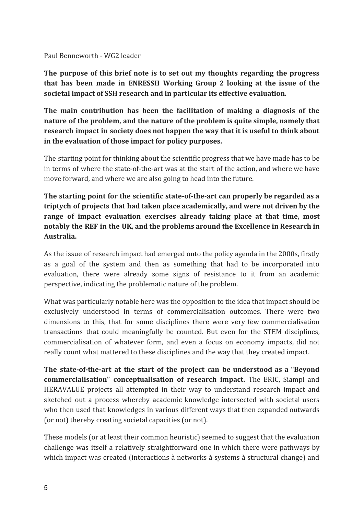Paul Benneworth - WG2 leader

**The purpose of this brief note is to set out my thoughts regarding the progress that has been made in ENRESSH Working Group 2 looking at the issue of the societal impact of SSH research and in particular its effective evaluation.**

**The main contribution has been the facilitation of making a diagnosis of the nature of the problem, and the nature of the problem is quite simple, namely that research impact in society does not happen the way that it is useful to think about in the evaluation of those impact for policy purposes.**

The starting point for thinking about the scientific progress that we have made has to be in terms of where the state-of-the-art was at the start of the action, and where we have move forward, and where we are also going to head into the future.

**The starting point for the scientific state-of-the-art can properly be regarded as a triptych of projects that had taken place academically, and were not driven by the range of impact evaluation exercises already taking place at that time, most notably the REF in the UK, and the problems around the Excellence in Research in Australia.**

As the issue of research impact had emerged onto the policy agenda in the 2000s, firstly as a goal of the system and then as something that had to be incorporated into evaluation, there were already some signs of resistance to it from an academic perspective, indicating the problematic nature of the problem.

What was particularly notable here was the opposition to the idea that impact should be exclusively understood in terms of commercialisation outcomes. There were two dimensions to this, that for some disciplines there were very few commercialisation transactions that could meaningfully be counted. But even for the STEM disciplines, commercialisation of whatever form, and even a focus on economy impacts, did not really count what mattered to these disciplines and the way that they created impact.

**The state-of-the-art at the start of the project can be understood as a "Beyond commercialisation" conceptualisation of research impact.** The ERIC, Siampi and HERAVALUE projects all attempted in their way to understand research impact and sketched out a process whereby academic knowledge intersected with societal users who then used that knowledges in various different ways that then expanded outwards (or not) thereby creating societal capacities (or not).

These models (or at least their common heuristic) seemed to suggest that the evaluation challenge was itself a relatively straightforward one in which there were pathways by which impact was created (interactions à networks à systems à structural change) and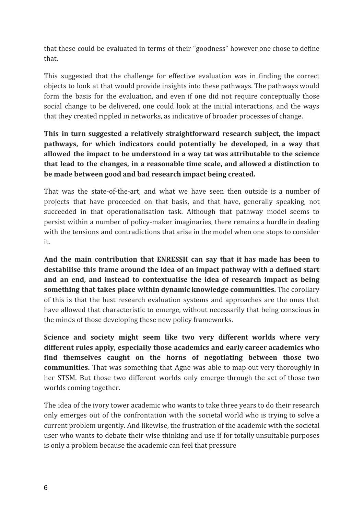that these could be evaluated in terms of their "goodness" however one chose to define that.

This suggested that the challenge for effective evaluation was in finding the correct objects to look at that would provide insights into these pathways. The pathways would form the basis for the evaluation, and even if one did not require conceptually those social change to be delivered, one could look at the initial interactions, and the ways that they created rippled in networks, as indicative of broader processes of change.

**This in turn suggested a relatively straightforward research subject, the impact pathways, for which indicators could potentially be developed, in a way that allowed the impact to be understood in a way tat was attributable to the science that lead to the changes, in a reasonable time scale, and allowed a distinction to be made between good and bad research impact being created.**

That was the state-of-the-art, and what we have seen then outside is a number of projects that have proceeded on that basis, and that have, generally speaking, not succeeded in that operationalisation task. Although that pathway model seems to persist within a number of policy-maker imaginaries, there remains a hurdle in dealing with the tensions and contradictions that arise in the model when one stops to consider it.

**And the main contribution that ENRESSH can say that it has made has been to destabilise this frame around the idea of an impact pathway with a defined start and an end, and instead to contextualise the idea of research impact as being something that takes place within dynamic knowledge communities.** The corollary of this is that the best research evaluation systems and approaches are the ones that have allowed that characteristic to emerge, without necessarily that being conscious in the minds of those developing these new policy frameworks.

**Science and society might seem like two very different worlds where very different rules apply, especially those academics and early career academics who find themselves caught on the horns of negotiating between those two communities.** That was something that Agne was able to map out very thoroughly in her STSM. But those two different worlds only emerge through the act of those two worlds coming together.

The idea of the ivory tower academic who wants to take three years to do their research only emerges out of the confrontation with the societal world who is trying to solve a current problem urgently. And likewise, the frustration of the academic with the societal user who wants to debate their wise thinking and use if for totally unsuitable purposes is only a problem because the academic can feel that pressure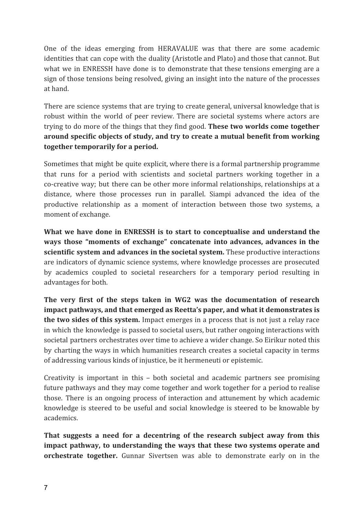One of the ideas emerging from HERAVALUE was that there are some academic identities that can cope with the duality (Aristotle and Plato) and those that cannot. But what we in ENRESSH have done is to demonstrate that these tensions emerging are a sign of those tensions being resolved, giving an insight into the nature of the processes at hand.

There are science systems that are trying to create general, universal knowledge that is robust within the world of peer review. There are societal systems where actors are trying to do more of the things that they find good. **These two worlds come together around specific objects of study, and try to create a mutual benefit from working together temporarily for a period.**

Sometimes that might be quite explicit, where there is a formal partnership programme that runs for a period with scientists and societal partners working together in a co-creative way; but there can be other more informal relationships, relationships at a distance, where those processes run in parallel. Siampi advanced the idea of the productive relationship as a moment of interaction between those two systems, a moment of exchange.

**What we have done in ENRESSH is to start to conceptualise and understand the ways those "moments of exchange" concatenate into advances, advances in the scientific system and advances in the societal system.** These productive interactions are indicators of dynamic science systems, where knowledge processes are prosecuted by academics coupled to societal researchers for a temporary period resulting in advantages for both.

**The very first of the steps taken in WG2 was the documentation of research impact pathways, and that emerged as Reetta's paper, and what it demonstrates is the two sides of this system.** Impact emerges in a process that is not just a relay race in which the knowledge is passed to societal users, but rather ongoing interactions with societal partners orchestrates over time to achieve a wider change. So Eirikur noted this by charting the ways in which humanities research creates a societal capacity in terms of addressing various kinds of injustice, be it hermeneuti or epistemic.

Creativity is important in this – both societal and academic partners see promising future pathways and they may come together and work together for a period to realise those. There is an ongoing process of interaction and attunement by which academic knowledge is steered to be useful and social knowledge is steered to be knowable by academics.

**That suggests a need for a decentring of the research subject away from this impact pathway, to understanding the ways that these two systems operate and orchestrate together.** Gunnar Sivertsen was able to demonstrate early on in the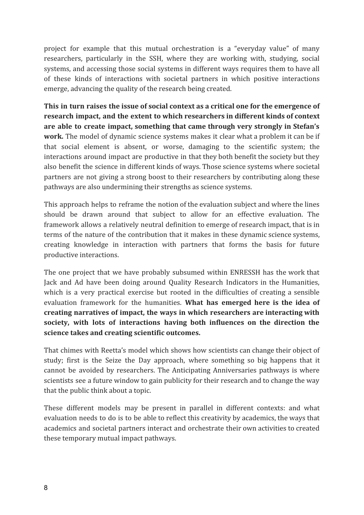project for example that this mutual orchestration is a "everyday value" of many researchers, particularly in the SSH, where they are working with, studying, social systems, and accessing those social systems in different ways requires them to have all of these kinds of interactions with societal partners in which positive interactions emerge, advancing the quality of the research being created.

**This in turn raises the issue of social context as a critical one for the emergence of research impact, and the extent to which researchers in different kinds of context are able to create impact, something that came through very strongly in Stefan's work.** The model of dynamic science systems makes it clear what a problem it can be if that social element is absent, or worse, damaging to the scientific system; the interactions around impact are productive in that they both benefit the society but they also benefit the science in different kinds of ways. Those science systems where societal partners are not giving a strong boost to their researchers by contributing along these pathways are also undermining their strengths as science systems.

This approach helps to reframe the notion of the evaluation subject and where the lines should be drawn around that subject to allow for an effective evaluation. The framework allows a relatively neutral definition to emerge of research impact, that is in terms of the nature of the contribution that it makes in these dynamic science systems, creating knowledge in interaction with partners that forms the basis for future productive interactions.

The one project that we have probably subsumed within ENRESSH has the work that Jack and Ad have been doing around Quality Research Indicators in the Humanities, which is a very practical exercise but rooted in the difficulties of creating a sensible evaluation framework for the humanities. **What has emerged here is the idea of creating narratives of impact, the ways in which researchers are interacting with society, with lots of interactions having both influences on the direction the science takes and creating scientific outcomes.**

That chimes with Reetta's model which shows how scientists can change their object of study; first is the Seize the Day approach, where something so big happens that it cannot be avoided by researchers. The Anticipating Anniversaries pathways is where scientists see a future window to gain publicity for their research and to change the way that the public think about a topic.

These different models may be present in parallel in different contexts: and what evaluation needs to do is to be able to reflect this creativity by academics, the ways that academics and societal partners interact and orchestrate their own activities to created these temporary mutual impact pathways.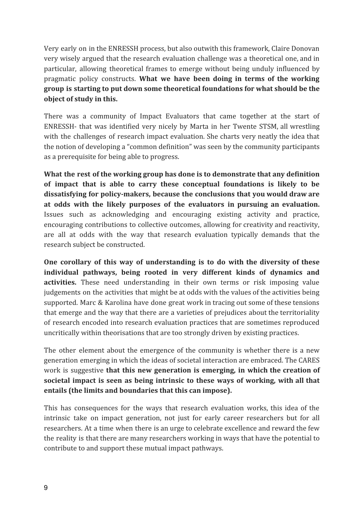Very early on in the ENRESSH process, but also outwith this framework, Claire Donovan very wisely argued that the research evaluation challenge was a theoretical one, and in particular, allowing theoretical frames to emerge without being unduly influenced by pragmatic policy constructs. **What we have been doing in terms of the working group is starting to put down some theoretical foundations for what should be the object of study in this.**

There was a community of Impact Evaluators that came together at the start of ENRESSH- that was identified very nicely by Marta in her Twente STSM, all wrestling with the challenges of research impact evaluation. She charts very neatly the idea that the notion of developing a "common definition" was seen by the community participants as a prerequisite for being able to progress.

**What the rest of the working group has done is to demonstrate that any definition of impact that is able to carry these conceptual foundations is likely to be dissatisfying for policy-makers, because the conclusions that you would draw are at odds with the likely purposes of the evaluators in pursuing an evaluation.** Issues such as acknowledging and encouraging existing activity and practice, encouraging contributions to collective outcomes, allowing for creativity and reactivity, are all at odds with the way that research evaluation typically demands that the research subject be constructed.

**One corollary of this way of understanding is to do with the diversity of these individual pathways, being rooted in very different kinds of dynamics and activities.** These need understanding in their own terms or risk imposing value judgements on the activities that might be at odds with the values of the activities being supported. Marc & Karolina have done great work in tracing out some of these tensions that emerge and the way that there are a varieties of prejudices about the territoriality of research encoded into research evaluation practices that are sometimes reproduced uncritically within theorisations that are too strongly driven by existing practices.

The other element about the emergence of the community is whether there is a new generation emerging in which the ideas of societal interaction are embraced. The CARES work is suggestive **that this new generation is emerging, in which the creation of societal impact is seen as being intrinsic to these ways of working, with all that entails (the limits and boundaries that this can impose).**

This has consequences for the ways that research evaluation works, this idea of the intrinsic take on impact generation, not just for early career researchers but for all researchers. At a time when there is an urge to celebrate excellence and reward the few the reality is that there are many researchers working in ways that have the potential to contribute to and support these mutual impact pathways.